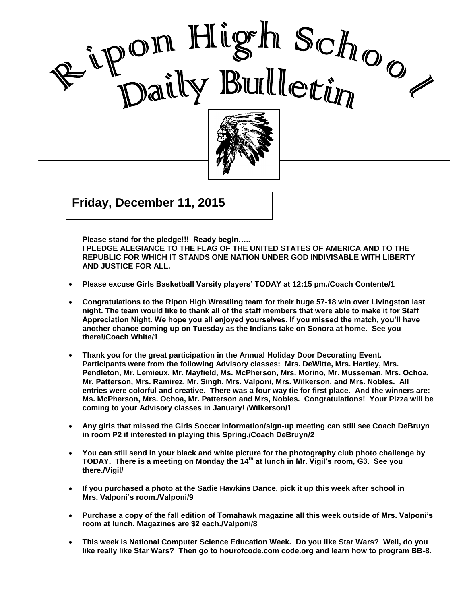

, 2002 Good Care and Care and Care and Care and Care and Care and Care and Care and Care and Care and Care and Care a<br>Contract of Care and Care and Care and Care and Care and Care and Care and Care and Care and Care and Care and

I

 $\mathcal{G}$  and  $\mathcal{G}$  are  $\mathcal{G}$  and  $\mathcal{G}$ **Friday, December 11, 2015**

**Please stand for the pledge!!! Ready begin…..** 

**I PLEDGE ALEGIANCE TO THE FLAG OF THE UNITED STATES OF AMERICA AND TO THE REPUBLIC FOR WHICH IT STANDS ONE NATION UNDER GOD INDIVISABLE WITH LIBERTY AND JUSTICE FOR ALL.**

- **Please excuse Girls Basketball Varsity players' TODAY at 12:15 pm./Coach Contente/1**
- **Congratulations to the Ripon High Wrestling team for their huge 57-18 win over Livingston last night. The team would like to thank all of the staff members that were able to make it for Staff Appreciation Night. We hope you all enjoyed yourselves. If you missed the match, you'll have another chance coming up on Tuesday as the Indians take on Sonora at home. See you there!/Coach White/1**
- **Thank you for the great participation in the Annual Holiday Door Decorating Event. Participants were from the following Advisory classes: Mrs. DeWitte, Mrs. Hartley, Mrs. Pendleton, Mr. Lemieux, Mr. Mayfield, Ms. McPherson, Mrs. Morino, Mr. Musseman, Mrs. Ochoa, Mr. Patterson, Mrs. Ramirez, Mr. Singh, Mrs. Valponi, Mrs. Wilkerson, and Mrs. Nobles. All entries were colorful and creative. There was a four way tie for first place. And the winners are: Ms. McPherson, Mrs. Ochoa, Mr. Patterson and Mrs, Nobles. Congratulations! Your Pizza will be coming to your Advisory classes in January! /Wilkerson/1**
- **Any girls that missed the Girls Soccer information/sign-up meeting can still see Coach DeBruyn in room P2 if interested in playing this Spring./Coach DeBruyn/2**
- **You can still send in your black and white picture for the photography club photo challenge by TODAY. There is a meeting on Monday the 14th at lunch in Mr. Vigil's room, G3. See you there./Vigil/**
- **If you purchased a photo at the Sadie Hawkins Dance, pick it up this week after school in Mrs. Valponi's room./Valponi/9**
- **Purchase a copy of the fall edition of Tomahawk magazine all this week outside of Mrs. Valponi's room at lunch. Magazines are \$2 each./Valponi/8**
- **This week is National Computer Science Education Week. Do you like Star Wars? Well, do you like really like Star Wars? Then go to hourofcode.com code.org and learn how to program BB-8.**